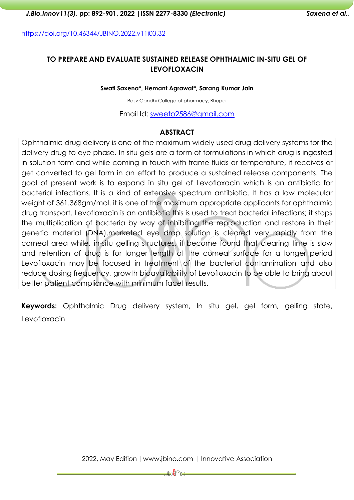<https://doi.org/10.46344/JBINO.2022.v11i03.32>

# **TO PREPARE AND EVALUATE SUSTAINED RELEASE OPHTHALMIC IN-SITU GEL OF LEVOFLOXACIN**

**Swati Saxena\*, Hemant Agrawal\*, Sarang Kumar Jain**

Rajiv Gandhi College of pharmacy, Bhopal

Email Id: [sweeto2586@gmail.com](mailto:sweeto2586@gmail.com)

### **ABSTRACT**

Ophthalmic drug delivery is one of the maximum widely used drug delivery systems for the delivery drug to eye phase. In situ gels are a form of formulations in which drug is ingested in solution form and while coming in touch with frame fluids or temperature, it receives or get converted to gel form in an effort to produce a sustained release components. The goal of present work is to expand in situ gel of Levofloxacin which is an antibiotic for bacterial infections. It is a kind of extensive spectrum antibiotic. It has a low molecular weight of 361.368gm/mol. it is one of the maximum appropriate applicants for ophthalmic drug transport. Levofloxacin is an antibiotic this is used to treat bacterial infections; it stops the multiplication of bacteria by way of inhibiting the reproduction and restore in their genetic material (DNA).marketed eye drop solution is cleared very rapidly from the corneal area while, in-situ gelling structures, it become found that clearing time is slow and retention of drug is for longer length at the corneal surface for a longer period Levofloxacin may be focused in treatment of the bacterial contamination and also reduce dosing frequency, growth bioavailability of Levofloxacin to be able to bring about better patient compliance with minimum facet results.

**Keywords:** Ophthalmic Drug delivery system, In situ gel, gel form, gelling state, Levofloxacin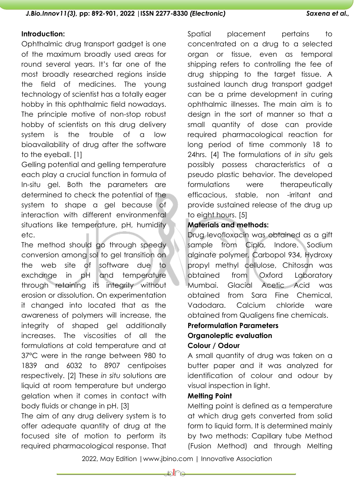### **Introduction:**

Ophthalmic drug transport gadget is one of the maximum broadly used areas for round several years. It's far one of the most broadly researched regions inside the field of medicines. The young technology of scientist has a totally eager hobby in this ophthalmic field nowadays. The principle motive of non-stop robust hobby of scientists on this drug delivery system is the trouble of a low bioavailability of drug after the software to the eyeball. [1]

Gelling potential and gelling temperature each play a crucial function in formula of In-situ gel. Both the parameters are determined to check the potential of the system to shape a gel because of interaction with different environmental situations like temperature, pH, humidity etc.

The method should go through speedy conversion among sol to gel transition on the web site of software due to exchange in pH and temperature through retaining its integrity without erosion or dissolution. On experimentation it changed into located that as the awareness of polymers will increase, the integrity of shaped gel additionally increases. The viscosities of all the formulations at cold temperature and at 37°C were in the range between 980 to 1839 and 6032 to 8907 centipoises respectively. [2] These *in situ* solutions are liquid at room temperature but undergo gelation when it comes in contact with body fluids or change in pH. [3]

The aim of any drug delivery system is to offer adequate quantity of drug at the focused site of motion to perform its required pharmacological response. That Spatial placement pertains to concentrated on a drug to a selected organ or tissue, even as temporal shipping refers to controlling the fee of drug shipping to the target tissue. A sustained launch drug transport gadget can be a prime development in curing ophthalmic illnesses. The main aim is to design in the sort of manner so that a small quantity of dose can provide required pharmacological reaction for long period of time commonly 18 to 24hrs. [4] The formulations of *in situ* gels possibly possess characteristics of a pseudo plastic behavior. The developed formulations were therapeutically efficacious, stable, non -irritant and provide sustained release of the drug up to eight hours. [5]

# **Materials and methods:**

Drug levofloxacin was obtained as a gift sample from Cipla, Indore. Sodium alginate polymer, Carbopol 934, Hydroxy propyl methyl cellulose, Chitosan was obtained from Oxford Laboratory Mumbai. Glacial Acetic Acid was obtained from Sara Fine Chemical, Vadodara. Calcium chloride ware obtained from Qualigens fine chemicals.

# **Preformulation Parameters Organoleptic evaluation**

# **Colour / Odour**

A small quantity of drug was taken on a butter paper and it was analyzed for identification of colour and odour by visual inspection in light.

### **Melting Point**

Melting point is defined as a temperature at which drug gets converted from solid form to liquid form. It is determined mainly by two methods: Capillary tube Method (Fusion Method) and through Melting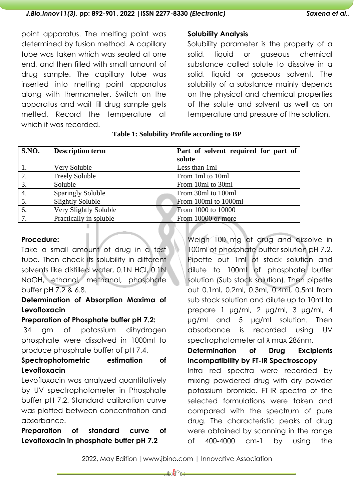point apparatus. The melting point was determined by fusion method. A capillary tube was taken which was sealed at one end, and then filled with small amount of drug sample. The capillary tube was inserted into melting point apparatus along with thermometer. Switch on the apparatus and wait till drug sample gets melted. Record the temperature at which it was recorded.

### **Solubility Analysis**

Solubility parameter is the property of a solid, liquid or gaseous chemical substance called solute to dissolve in a solid, liquid or gaseous solvent. The solubility of a substance mainly depends on the physical and chemical properties of the solute and solvent as well as on temperature and pressure of the solution.

| S.NO.            | <b>Description term</b>  | Part of solvent required for part of |
|------------------|--------------------------|--------------------------------------|
|                  |                          | solute                               |
|                  | Very Soluble             | Less than 1ml                        |
| 2.               | Freely Soluble           | From 1ml to 10ml                     |
| $\overline{3}$ . | Soluble                  | From 10ml to 30ml                    |
| $\overline{4}$ . | <b>Sparingly Soluble</b> | From 30ml to 100ml                   |
| 5.               | <b>Slightly Soluble</b>  | From 100ml to 1000ml                 |
| 6.               | Very Slightly Soluble    | From 1000 to 10000                   |
| 7.               | Practically in soluble   | From 10000 or more                   |

### **Table 1: Solubility Profile according to BP**

### **Procedure:**

Take a small amount of drug in a test tube. Then check its solubility in different solvents like distilled water, 0.1N HCl, 0.1N NaOH, ethanol, methanol, phosphate buffer pH 7.2 & 6.8.

# **Determination of Absorption Maxima of Levofloxacin**

### **Preparation of Phosphate buffer pH 7.2:**

34 gm of potassium dihydrogen phosphate were dissolved in 1000ml to produce phosphate buffer of pH 7.4.

# **Spectrophotometric estimation of Levofloxacin**

Levofloxacin was analyzed quantitatively by UV spectrophotometer in Phosphate buffer pH 7.2. Standard calibration curve was plotted between concentration and absorbance.

**Preparation of standard curve of Levofloxacin in phosphate buffer pH 7.2**

Weigh 100 mg of drug and dissolve in 100ml of phosphate buffer solution pH 7.2. Pipette out 1ml of stock solution and dilute to 100ml of phosphate buffer solution (Sub stock solution). Then pipette out 0.1ml, 0.2ml, 0.3ml, 0.4ml, 0.5ml from sub stock solution and dilute up to 10ml to prepare 1 µg/ml, 2 µg/ml, 3 µg/ml, 4 µg/ml and 5 µg/ml solution. Then absorbance is recorded using UV spectrophotometer at  $\lambda$  max 286nm.

**Determination of Drug Excipients Incompatibility by FT-IR Spectroscopy**

Infra red spectra were recorded by mixing powdered drug with dry powder potassium bromide. FT-IR spectra of the selected formulations were taken and compared with the spectrum of pure drug. The characteristic peaks of drug were obtained by scanning in the range of 400-4000 cm-1 by using the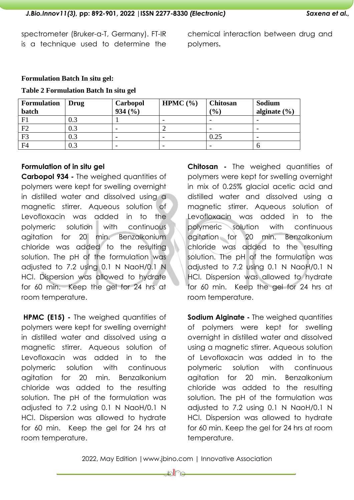spectrometer (Bruker-α-T, Germany). FT-IR is a technique used to determine the

chemical interaction between drug and polymers**.**

### **Formulation Batch In situ gel:**

#### **Table 2 Formulation Batch In situ gel**

| <b>Formulation</b> | Drug    | Carbopol | HPMC $(\% )$             | <b>Chitosan</b> | Sodium                   |
|--------------------|---------|----------|--------------------------|-----------------|--------------------------|
| batch              |         | 934(%)   |                          | $(\%)$          | alginate $(\% )$         |
| F1                 |         |          | $\overline{\phantom{0}}$ |                 |                          |
| F2                 |         |          | ∼                        |                 | $\overline{\phantom{0}}$ |
| F <sub>3</sub>     | 0.3     |          | $\overline{\phantom{0}}$ | 0.25            |                          |
| F <sub>4</sub>     | $0.3\,$ |          | $\overline{\phantom{0}}$ |                 |                          |

### **Formulation of in situ gel**

**Carbopol 934 -** The weighed quantities of polymers were kept for swelling overnight in distilled water and dissolved using a magnetic stirrer. Aqueous solution of Levofloxacin was added in to the polymeric solution with continuous agitation for 20 min. Benzalkonium chloride was added to the resulting solution. The pH of the formulation was adjusted to 7.2 using 0.1 N NaoH/0.1 N HCl. Dispersion was allowed to hydrate for 60 min. Keep the gel for 24 hrs at room temperature.

**HPMC (E15) -** The weighed quantities of polymers were kept for swelling overnight in distilled water and dissolved using a magnetic stirrer. Aqueous solution of Levofloxacin was added in to the polymeric solution with continuous agitation for 20 min. Benzalkonium chloride was added to the resulting solution. The pH of the formulation was adjusted to 7.2 using 0.1 N NaoH/0.1 N HCl. Dispersion was allowed to hydrate for 60 min. Keep the gel for 24 hrs at room temperature.

**Chitosan -** The weighed quantities of polymers were kept for swelling overnight in mix of 0.25% glacial acetic acid and distilled water and dissolved using a magnetic stirrer. Aqueous solution of Levofloxacin was added in to the polymeric solution with continuous agitation for 20 min. Benzalkonium chloride was added to the resulting solution. The pH of the formulation was adjusted to 7.2 using 0.1 N NaoH/0.1 N HCl. Dispersion was allowed to hydrate for 60 min. Keep the gel for 24 hrs at room temperature.

**Sodium Alginate -** The weighed quantities of polymers were kept for swelling overnight in distilled water and dissolved using a magnetic stirrer. Aqueous solution of Levofloxacin was added in to the polymeric solution with continuous agitation for 20 min. Benzalkonium chloride was added to the resulting solution. The pH of the formulation was adjusted to 7.2 using 0.1 N NaoH/0.1 N HCl. Dispersion was allowed to hydrate for 60 min. Keep the gel for 24 hrs at room temperature.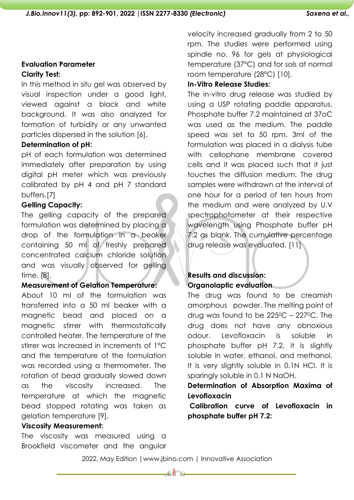# **Evaluation Parameter Clarity Test:**

In this method in situ gel was observed by visual inspection under a good light, viewed against a black and white background. It was also analyzed for formation of turbidity or any unwanted particles dispersed in the solution [6].

### **Determination of pH:**

pH of each formulation was determined immediately after preparation by using digital pH meter which was previously calibrated by pH 4 and pH 7 standard buffers.[7]

# **Gelling Capacity:**

The gelling capacity of the prepared formulation was determined by placing a drop of the formulation in a beaker containing 50 ml of freshly prepared concentrated calcium chloride solution and was visually observed for gelling time. [8].

### **Measurement of Gelation Temperature:**

About 10 ml of the formulation was transferred into a 50 ml beaker with a magnetic bead and placed on a magnetic stirrer with thermostatically controlled heater. The temperature of the stirrer was increased in increments of 1°C and the temperature of the formulation was recorded using a thermometer. The rotation of bead gradually slowed down as the viscosity increased. The temperature at which the magnetic bead stopped rotating was taken as gelation temperature [9].

### **Viscosity Measurement:**

The viscosity was measured using a Brookfield viscometer and the angular velocity increased gradually from 2 to 50 rpm. The studies were performed using spindle no. 96 for gels at physiological temperature (37°C) and for sols at normal room temperature (28°C) [10].

### **In-Vitro Release Studies:**

The in-vitro drug release was studied by using a USP rotating paddle apparatus. Phosphate buffer 7.2 maintained at 37oC was used as the medium. The paddle speed was set to 50 rpm. 3ml of the formulation was placed in a dialysis tube with cellophane membrane covered cells and it was placed such that it just touches the diffusion medium. The drug samples were withdrawn at the interval of one hour for a period of ten hours from the medium and were analyzed by U.V spectrophotometer at their respective wavelength using Phosphate buffer pH 7.2 as blank. The cumulative percentage drug release was evaluated. [11]

# **Results and discussion: Organolaptic evaluation**

The drug was found to be creamish amorphous powder. The melting point of drug was found to be 2250C – 2270C. The drug does not have any obnoxious odour. Levofloxacin is soluble in phosphate buffer pH 7.2, it is slightly soluble in water, ethanol, and methanol. It is very slightly soluble in 0.1N HCl. It is sparingly soluble in 0.1 N NaOH.

# **Determination of Absorption Maxima of Levofloxacin**

**Calibration curve of Levofloxacin in phosphate buffer pH 7.2:**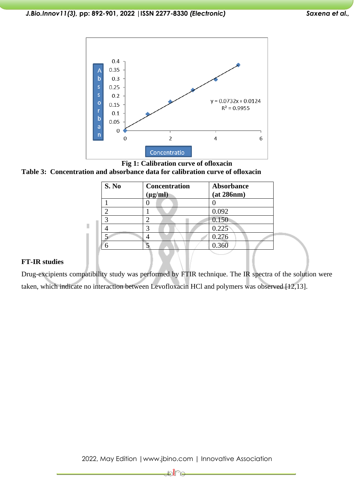

#### **Fig 1: Calibration curve of ofloxacin**

#### **Table 3: Concentration and absorbance data for calibration curve of ofloxacin**

| S. No | <b>Concentration</b><br>$(\mu g/ml)$ | Absorbance<br>(at 286nm) |
|-------|--------------------------------------|--------------------------|
|       |                                      |                          |
|       |                                      | 0.092                    |
|       |                                      | 0.150                    |
|       |                                      | 0.225                    |
|       |                                      | 0.276                    |
|       |                                      | 0.360                    |
|       |                                      |                          |

#### **FT-IR studies**

Drug-excipients compatibility study was performed by FTIR technique. The IR spectra of the solution were taken, which indicate no interaction between Levofloxacin HCl and polymers was observed [12,13].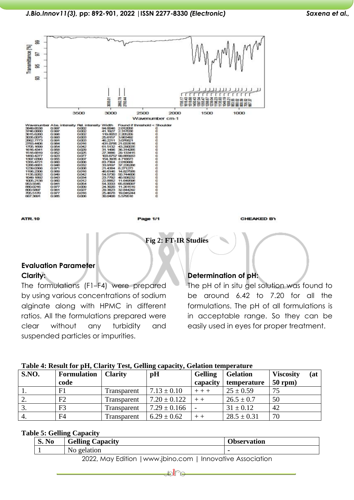

**ATR.10** 

age 1/1

**CHEAKED BY** 

**Fig 2: FT-IR Studies**

# **Evaluation Parameter Clarity:**

The formulations (F1–F4) were prepared by using various concentrations of sodium alginate along with HPMC in different ratios. All the formulations prepared were clear without any turbidity and suspended particles or impurities.

### **Determination of pH:**

The pH of in situ gel solution was found to be around 6.42 to 7.20 for all the formulations. The pH of all formulations is in acceptable range. So they can be easily used in eyes for proper treatment.

| <b>S.NO.</b> | <b>Formulation</b><br>code | <b>Clarity</b> | pH               | <b>Gelling</b><br>capacity | <b>Gelation</b><br>temperature | <b>Viscosity</b><br>(at<br>$50$ rpm) |
|--------------|----------------------------|----------------|------------------|----------------------------|--------------------------------|--------------------------------------|
|              | F1                         | Transparent    | $7.13 \pm 0.10$  | $+ + +$                    | $25 \pm 0.59$                  | 75                                   |
| 2.           | F <sub>2</sub>             | Transparent    | $7.20 \pm 0.122$ |                            | $26.5 \pm 0.7$                 | 50                                   |
|              | F <sub>3</sub>             | Transparent    | $7.29 \pm 0.166$ |                            | $31 \pm 0.12$                  | 42                                   |
|              | F <sub>4</sub>             | Transparent    | $6.29 \pm 0.62$  |                            | $28.5 \pm 0.31$                | 70                                   |

#### **Table 4: Result for pH, Clarity Test, Gelling capacity, Gelation temperature**

### **Table 5: Gelling Capacity**

| S. No | <b>Gelling Capacity</b>                                  | <b>Observation</b> |
|-------|----------------------------------------------------------|--------------------|
|       | No gelation                                              |                    |
|       | 2022 May Edition Lugary ibino com Lanovative Association |                    |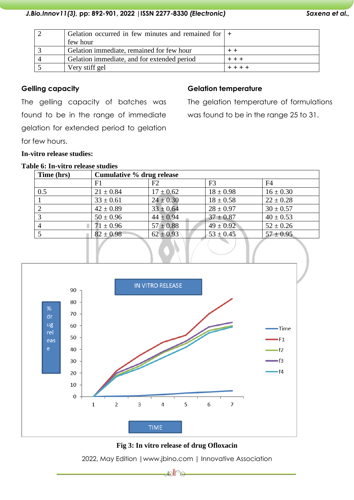### *J.Bio.Innov11(3),* **pp: 892-901, 2022 |ISSN 2277-8330** *(Electronic) Saxena et al.,*

| Gelation occurred in few minutes and remained for $  +$ |  |
|---------------------------------------------------------|--|
| few hour                                                |  |
| Gelation immediate, remained for few hour               |  |
| Gelation immediate, and for extended period             |  |
| Very stiff gel                                          |  |

### **Gelling capacity**

The gelling capacity of batches was found to be in the range of immediate gelation for extended period to gelation for few hours.

# **Gelation temperature**

The gelation temperature of formulations was found to be in the range 25 to 31.

# **In-vitro release studies:**

#### **Table 6: In-vitro release studies**

| Time (hrs)     | Cumulative % drug release |               |                |                |
|----------------|---------------------------|---------------|----------------|----------------|
|                | F1                        | F2            | F <sub>3</sub> | F <sub>4</sub> |
| 0.5            | $21 \pm 0.84$             | $17 \pm 0.62$ | $18 \pm 0.98$  | $16 \pm 0.30$  |
|                | $33 \pm 0.61$             | $24 \pm 0.30$ | $18 \pm 0.58$  | $22 \pm 0.28$  |
| 2              | $42 \pm 0.89$             | $33 \pm 0.64$ | $28 \pm 0.97$  | $30 \pm 0.57$  |
|                | $50 \pm 0.96$             | $44 \pm 0.94$ | $37 \pm 0.87$  | $40 \pm 0.53$  |
| $\overline{4}$ | $71 \pm 0.96$             | $57 \pm 0.88$ | $49 \pm 0.92$  | $52 \pm 0.26$  |
|                | $82 \pm 0.98$             | $62 \pm 0.93$ | $53 \pm 0.45$  | $57 \pm 0.95$  |
|                |                           |               |                |                |



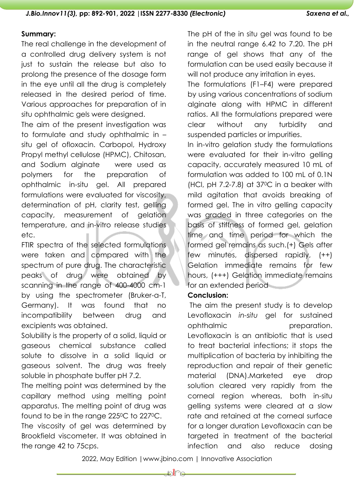### **Summary:**

The real challenge in the development of a controlled drug delivery system is not just to sustain the release but also to prolong the presence of the dosage form in the eye until all the drug is completely released in the desired period of time. Various approaches for preparation of in situ ophthalmic gels were designed.

The aim of the present investigation was to formulate and study ophthalmic in – situ gel of ofloxacin. Carbopol, Hydroxy Propyl methyl cellulose (HPMC), Chitosan, and Sodium alginate were used as polymers for the preparation of ophthalmic in-situ gel. All prepared formulations were evaluated for viscosity, determination of pH, clarity test, gelling capacity, measurement of gelation temperature, and in-vitro release studies etc.

FTIR spectra of the selected formulations were taken and compared with the spectrum of pure drug. The characteristic peaks of drug were obtained by scanning in the range of 400-4000 cm-1 by using the spectrometer (Bruker-α-T, Germany). It was found that no incompatibility between drug and excipients was obtained.

Solubility is the property of a solid, liquid or gaseous chemical substance called solute to dissolve in a solid liquid or gaseous solvent. The drug was freely soluble in phosphate buffer pH 7.2.

The melting point was determined by the capillary method using melting point apparatus. The melting point of drug was found to be in the range 225<sup>o</sup>C to 227<sup>o</sup>C. The viscosity of gel was determined by Brookfield viscometer. It was obtained in the range 42 to 75cps.

The pH of the in situ gel was found to be in the neutral range 6.42 to 7.20. The pH range of gel shows that any of the formulation can be used easily because it will not produce any irritation in eyes.

The formulations (F1–F4) were prepared by using various concentrations of sodium alginate along with HPMC in different ratios. All the formulations prepared were clear without any turbidity and suspended particles or impurities.

In in-vitro gelation study the formulations were evaluated for their in-vitro gelling capacity, accurately measured 10 mL of formulation was added to 100 mL of 0.1N (HCl, pH 7.2-7.8) at 370C in a beaker with mild agitation that avoids breaking of formed gel. The in vitro gelling capacity was graded in three categories on the basis of stiffness of formed gel, gelation time and time period for which the formed gel remains as such.(+) Gels after few minutes, dispersed rapidly, (++) Gelation immediate remains for few hours, (+++) Gelation immediate remains for an extended period

### **Conclusion:**

The aim the present study is to develop Levofloxacin *in-situ* gel for sustained ophthalmic preparation. Levofloxacin is an antibiotic that is used to treat bacterial infections; it stops the multiplication of bacteria by inhibiting the reproduction and repair of their genetic material (DNA).Marketed eye drop solution cleared very rapidly from the corneal region whereas, both in-situ gelling systems were cleared at a slow rate and retained at the corneal surface for a longer duration Levofloxacin can be targeted in treatment of the bacterial infection and also reduce dosing